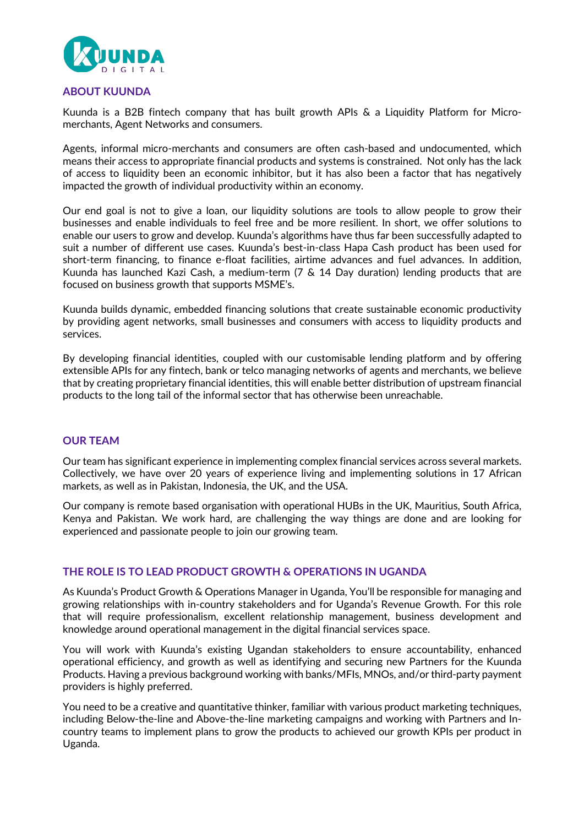

### **ABOUT KUUNDA**

Kuunda is a B2B fintech company that has built growth APIs & a Liquidity Platform for Micromerchants, Agent Networks and consumers.

Agents, informal micro-merchants and consumers are often cash-based and undocumented, which means their access to appropriate financial products and systems is constrained. Not only has the lack of access to liquidity been an economic inhibitor, but it has also been a factor that has negatively impacted the growth of individual productivity within an economy.

Our end goal is not to give a loan, our liquidity solutions are tools to allow people to grow their businesses and enable individuals to feel free and be more resilient. In short, we offer solutions to enable our users to grow and develop. Kuunda's algorithms have thus far been successfully adapted to suit a number of different use cases. Kuunda's best-in-class Hapa Cash product has been used for short-term financing, to finance e-float facilities, airtime advances and fuel advances. In addition, Kuunda has launched Kazi Cash, a medium-term (7 & 14 Day duration) lending products that are focused on business growth that supports MSME's.

Kuunda builds dynamic, embedded financing solutions that create sustainable economic productivity by providing agent networks, small businesses and consumers with access to liquidity products and services.

By developing financial identities, coupled with our customisable lending platform and by offering extensible APIs for any fintech, bank or telco managing networks of agents and merchants, we believe that by creating proprietary financial identities, this will enable better distribution of upstream financial products to the long tail of the informal sector that has otherwise been unreachable.

#### **OUR TEAM**

Our team has significant experience in implementing complex financial services across several markets. Collectively, we have over 20 years of experience living and implementing solutions in 17 African markets, as well as in Pakistan, Indonesia, the UK, and the USA.

Our company is remote based organisation with operational HUBs in the UK, Mauritius, South Africa, Kenya and Pakistan. We work hard, are challenging the way things are done and are looking for experienced and passionate people to join our growing team.

### **THE ROLE IS TO LEAD PRODUCT GROWTH & OPERATIONS IN UGANDA**

As Kuunda's Product Growth & Operations Manager in Uganda, You'll be responsible for managing and growing relationships with in-country stakeholders and for Uganda's Revenue Growth. For this role that will require professionalism, excellent relationship management, business development and knowledge around operational management in the digital financial services space.

You will work with Kuunda's existing Ugandan stakeholders to ensure accountability, enhanced operational efficiency, and growth as well as identifying and securing new Partners for the Kuunda Products. Having a previous background working with banks/MFIs, MNOs, and/or third-party payment providers is highly preferred.

You need to be a creative and quantitative thinker, familiar with various product marketing techniques, including Below-the-line and Above-the-line marketing campaigns and working with Partners and Incountry teams to implement plans to grow the products to achieved our growth KPIs per product in Uganda.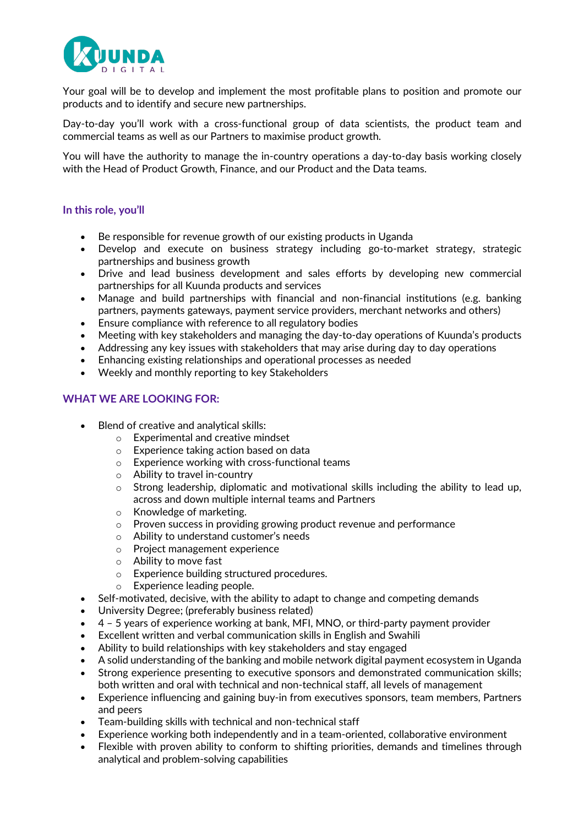

Your goal will be to develop and implement the most profitable plans to position and promote our products and to identify and secure new partnerships.

Day-to-day you'll work with a cross-functional group of data scientists, the product team and commercial teams as well as our Partners to maximise product growth.

You will have the authority to manage the in-country operations a day-to-day basis working closely with the Head of Product Growth, Finance, and our Product and the Data teams.

#### **In this role, you'll**

- Be responsible for revenue growth of our existing products in Uganda
- Develop and execute on business strategy including go-to-market strategy, strategic partnerships and business growth
- Drive and lead business development and sales efforts by developing new commercial partnerships for all Kuunda products and services
- Manage and build partnerships with financial and non-financial institutions (e.g. banking partners, payments gateways, payment service providers, merchant networks and others)
- Ensure compliance with reference to all regulatory bodies
- Meeting with key stakeholders and managing the day-to-day operations of Kuunda's products
- Addressing any key issues with stakeholders that may arise during day to day operations
- Enhancing existing relationships and operational processes as needed
- Weekly and monthly reporting to key Stakeholders

#### **WHAT WE ARE LOOKING FOR:**

- Blend of creative and analytical skills:
	- o Experimental and creative mindset
	- o Experience taking action based on data
	- o Experience working with cross-functional teams
	- o Ability to travel in-country
	- $\circ$  Strong leadership, diplomatic and motivational skills including the ability to lead up, across and down multiple internal teams and Partners
	- o Knowledge of marketing.
	- o Proven success in providing growing product revenue and performance
	- o Ability to understand customer's needs
	- o Project management experience
	- o Ability to move fast
	- o Experience building structured procedures.
	- o Experience leading people.
- Self-motivated, decisive, with the ability to adapt to change and competing demands
- University Degree; (preferably business related)
- 4 5 years of experience working at bank, MFI, MNO, or third-party payment provider
- Excellent written and verbal communication skills in English and Swahili
- Ability to build relationships with key stakeholders and stay engaged
- A solid understanding of the banking and mobile network digital payment ecosystem in Uganda
- Strong experience presenting to executive sponsors and demonstrated communication skills; both written and oral with technical and non-technical staff, all levels of management
- Experience influencing and gaining buy-in from executives sponsors, team members, Partners and peers
- Team-building skills with technical and non-technical staff
- Experience working both independently and in a team-oriented, collaborative environment
- Flexible with proven ability to conform to shifting priorities, demands and timelines through analytical and problem-solving capabilities